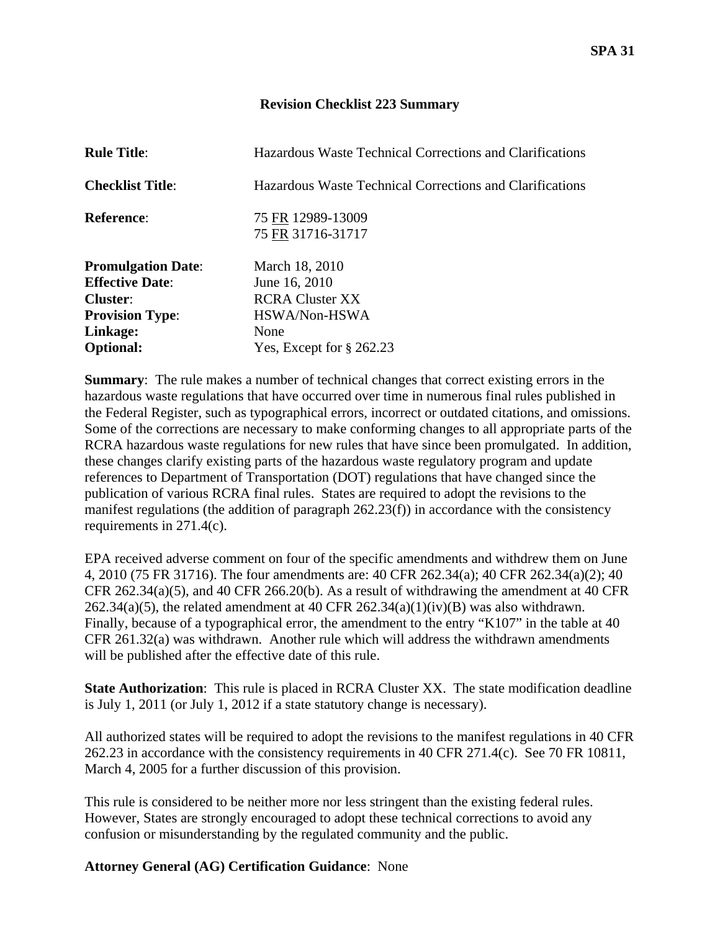## **Revision Checklist 223 Summary**

| <b>Rule Title:</b>        | Hazardous Waste Technical Corrections and Clarifications |
|---------------------------|----------------------------------------------------------|
| <b>Checklist Title:</b>   | Hazardous Waste Technical Corrections and Clarifications |
| <b>Reference:</b>         | 75 FR 12989-13009<br>75 FR 31716-31717                   |
| <b>Promulgation Date:</b> | March 18, 2010                                           |
| <b>Effective Date:</b>    | June 16, 2010                                            |
| <b>Cluster:</b>           | <b>RCRA Cluster XX</b>                                   |
| <b>Provision Type:</b>    | HSWA/Non-HSWA                                            |
| Linkage:                  | None                                                     |
| <b>Optional:</b>          | Yes, Except for $\S 262.23$                              |

**Summary**: The rule makes a number of technical changes that correct existing errors in the hazardous waste regulations that have occurred over time in numerous final rules published in the Federal Register, such as typographical errors, incorrect or outdated citations, and omissions. Some of the corrections are necessary to make conforming changes to all appropriate parts of the RCRA hazardous waste regulations for new rules that have since been promulgated. In addition, these changes clarify existing parts of the hazardous waste regulatory program and update references to Department of Transportation (DOT) regulations that have changed since the publication of various RCRA final rules. States are required to adopt the revisions to the manifest regulations (the addition of paragraph 262.23(f)) in accordance with the consistency requirements in 271.4(c).

EPA received adverse comment on four of the specific amendments and withdrew them on June 4, 2010 (75 FR 31716). The four amendments are: 40 CFR 262.34(a); 40 CFR 262.34(a)(2); 40 CFR 262.34(a)(5), and 40 CFR 266.20(b). As a result of withdrawing the amendment at 40 CFR  $262.34(a)(5)$ , the related amendment at 40 CFR  $262.34(a)(1)(iv)(B)$  was also withdrawn. Finally, because of a typographical error, the amendment to the entry "K107" in the table at 40 CFR 261.32(a) was withdrawn. Another rule which will address the withdrawn amendments will be published after the effective date of this rule.

**State Authorization**: This rule is placed in RCRA Cluster XX. The state modification deadline is July 1, 2011 (or July 1, 2012 if a state statutory change is necessary).

All authorized states will be required to adopt the revisions to the manifest regulations in 40 CFR 262.23 in accordance with the consistency requirements in 40 CFR 271.4(c). See 70 FR 10811, March 4, 2005 for a further discussion of this provision.

This rule is considered to be neither more nor less stringent than the existing federal rules. However, States are strongly encouraged to adopt these technical corrections to avoid any confusion or misunderstanding by the regulated community and the public.

**Attorney General (AG) Certification Guidance**: None